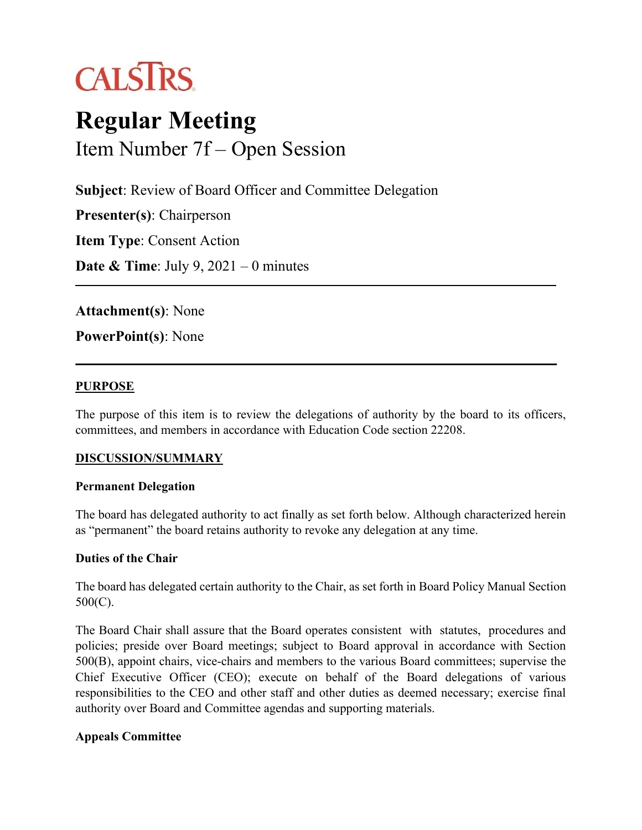

# **Regular Meeting** Item Number 7f – Open Session

**Subject**: Review of Board Officer and Committee Delegation

**Presenter(s)**: Chairperson **Item Type**: Consent Action **Date & Time**: July 9, 2021 – 0 minutes

**Attachment(s)**: None

**PowerPoint(s)**: None

## **PURPOSE**

The purpose of this item is to review the delegations of authority by the board to its officers, committees, and members in accordance with Education Code section 22208.

# **DISCUSSION/SUMMARY**

#### **Permanent Delegation**

The board has delegated authority to act finally as set forth below. Although characterized herein as "permanent" the board retains authority to revoke any delegation at any time.

# **Duties of the Chair**

The board has delegated certain authority to the Chair, as set forth in Board Policy Manual Section 500(C).

The Board Chair shall assure that the Board operates consistent with statutes, procedures and policies; preside over Board meetings; subject to Board approval in accordance with Section 500(B), appoint chairs, vice-chairs and members to the various Board committees; supervise the Chief Executive Officer (CEO); execute on behalf of the Board delegations of various responsibilities to the CEO and other staff and other duties as deemed necessary; exercise final authority over Board and Committee agendas and supporting materials.

# **Appeals Committee**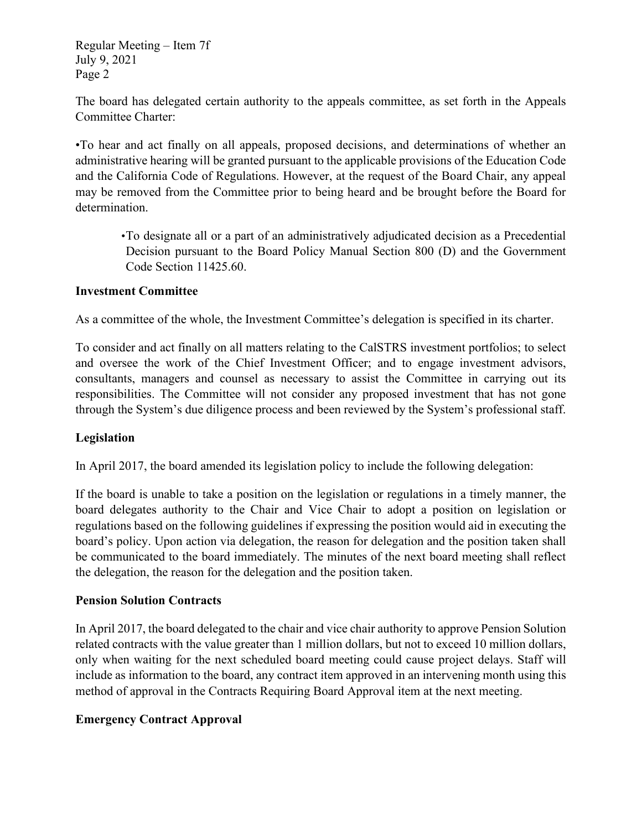Regular Meeting – Item 7f July 9, 2021 Page 2

The board has delegated certain authority to the appeals committee, as set forth in the Appeals Committee Charter:

•To hear and act finally on all appeals, proposed decisions, and determinations of whether an administrative hearing will be granted pursuant to the applicable provisions of the Education Code and the California Code of Regulations. However, at the request of the Board Chair, any appeal may be removed from the Committee prior to being heard and be brought before the Board for determination.

•To designate all or a part of an administratively adjudicated decision as a Precedential Decision pursuant to the Board Policy Manual Section 800 (D) and the Government Code Section 11425.60.

## **Investment Committee**

As a committee of the whole, the Investment Committee's delegation is specified in its charter.

To consider and act finally on all matters relating to the CalSTRS investment portfolios; to select and oversee the work of the Chief Investment Officer; and to engage investment advisors, consultants, managers and counsel as necessary to assist the Committee in carrying out its responsibilities. The Committee will not consider any proposed investment that has not gone through the System's due diligence process and been reviewed by the System's professional staff.

#### **Legislation**

In April 2017, the board amended its legislation policy to include the following delegation:

If the board is unable to take a position on the legislation or regulations in a timely manner, the board delegates authority to the Chair and Vice Chair to adopt a position on legislation or regulations based on the following guidelines if expressing the position would aid in executing the board's policy. Upon action via delegation, the reason for delegation and the position taken shall be communicated to the board immediately. The minutes of the next board meeting shall reflect the delegation, the reason for the delegation and the position taken.

#### **Pension Solution Contracts**

In April 2017, the board delegated to the chair and vice chair authority to approve Pension Solution related contracts with the value greater than 1 million dollars, but not to exceed 10 million dollars, only when waiting for the next scheduled board meeting could cause project delays. Staff will include as information to the board, any contract item approved in an intervening month using this method of approval in the Contracts Requiring Board Approval item at the next meeting.

# **Emergency Contract Approval**